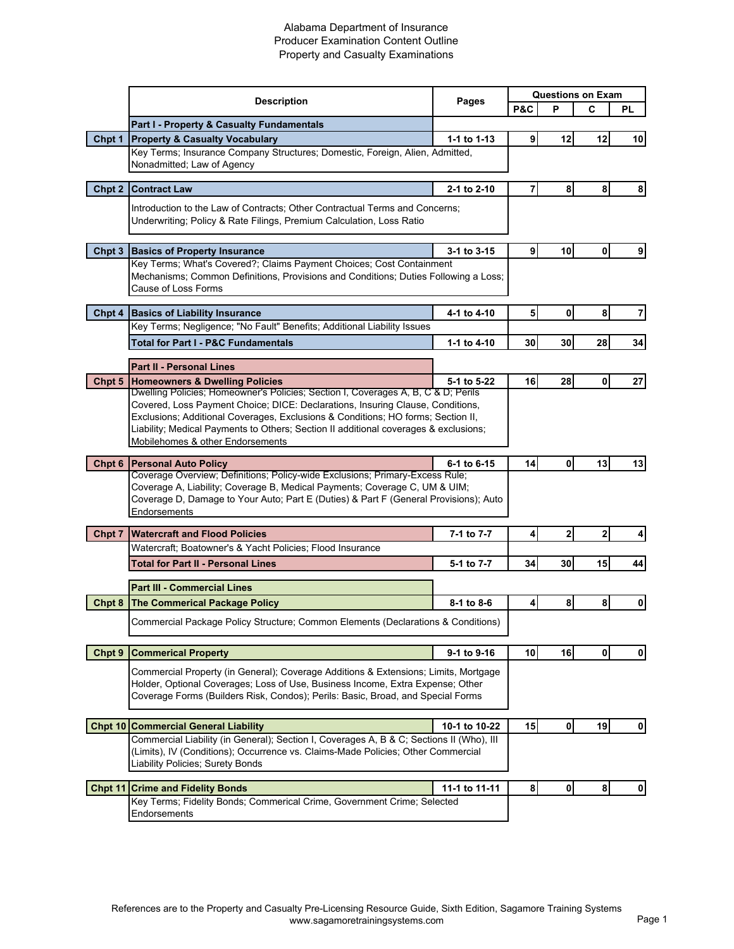## Alabama Department of Insurance Producer Examination Content Outline Property and Casualty Examinations

|        |                                                                                                                                                                                                                                                                                                                                                                                     | Pages         | <b>Questions on Exam</b> |              |                |             |
|--------|-------------------------------------------------------------------------------------------------------------------------------------------------------------------------------------------------------------------------------------------------------------------------------------------------------------------------------------------------------------------------------------|---------------|--------------------------|--------------|----------------|-------------|
|        | <b>Description</b>                                                                                                                                                                                                                                                                                                                                                                  |               | P&C                      | P            | C              | PL          |
|        | <b>Part I - Property &amp; Casualty Fundamentals</b>                                                                                                                                                                                                                                                                                                                                |               |                          |              |                |             |
| Chpt 1 | <b>Property &amp; Casualty Vocabulary</b><br>Key Terms; Insurance Company Structures; Domestic, Foreign, Alien, Admitted,                                                                                                                                                                                                                                                           | 1-1 to 1-13   | 9                        | 12           | 12             | 10          |
|        | Nonadmitted; Law of Agency                                                                                                                                                                                                                                                                                                                                                          |               |                          |              |                |             |
| Chpt 2 | <b>Contract Law</b>                                                                                                                                                                                                                                                                                                                                                                 | 2-1 to 2-10   | $\overline{7}$           | 8            | 8              | 8           |
|        |                                                                                                                                                                                                                                                                                                                                                                                     |               |                          |              |                |             |
|        | Introduction to the Law of Contracts; Other Contractual Terms and Concerns;<br>Underwriting; Policy & Rate Filings, Premium Calculation, Loss Ratio                                                                                                                                                                                                                                 |               |                          |              |                |             |
| Chpt 3 | <b>Basics of Property Insurance</b>                                                                                                                                                                                                                                                                                                                                                 | 3-1 to 3-15   | 9 <sup>1</sup>           | 10           | 0              | 9           |
|        | Key Terms; What's Covered?; Claims Payment Choices; Cost Containment<br>Mechanisms; Common Definitions, Provisions and Conditions; Duties Following a Loss;<br>Cause of Loss Forms                                                                                                                                                                                                  |               |                          |              |                |             |
|        | Chpt 4 Basics of Liability Insurance                                                                                                                                                                                                                                                                                                                                                | 4-1 to 4-10   | 5 <sub>1</sub>           | 0            | 8              | 7           |
|        | Key Terms; Negligence; "No Fault" Benefits; Additional Liability Issues                                                                                                                                                                                                                                                                                                             |               |                          |              |                |             |
|        | <b>Total for Part I - P&amp;C Fundamentals</b>                                                                                                                                                                                                                                                                                                                                      | 1-1 to 4-10   | 30 I                     | 30           | 28             | 34          |
|        | <b>Part II - Personal Lines</b>                                                                                                                                                                                                                                                                                                                                                     |               |                          |              |                |             |
| Chpt 5 | <b>Homeowners &amp; Dwelling Policies</b>                                                                                                                                                                                                                                                                                                                                           | 5-1 to 5-22   | 16                       | 28           | $\mathbf{0}$   | 27          |
|        | Dwelling Policies; Homeowner's Policies; Section I, Coverages A, B, C & D; Perils<br>Covered, Loss Payment Choice; DICE: Declarations, Insuring Clause, Conditions,<br>Exclusions; Additional Coverages, Exclusions & Conditions; HO forms; Section II,<br>Liability; Medical Payments to Others; Section II additional coverages & exclusions;<br>Mobilehomes & other Endorsements |               |                          |              |                |             |
| Chpt 6 | <b>Personal Auto Policy</b><br>Coverage Overview; Definitions; Policy-wide Exclusions; Primary-Excess Rule;                                                                                                                                                                                                                                                                         | 6-1 to 6-15   | 14                       | 0            | 13             | 13          |
|        | Coverage A, Liability; Coverage B, Medical Payments; Coverage C, UM & UIM;<br>Coverage D, Damage to Your Auto; Part E (Duties) & Part F (General Provisions); Auto<br>Endorsements                                                                                                                                                                                                  |               |                          |              |                |             |
| Chpt 7 | <b>Watercraft and Flood Policies</b>                                                                                                                                                                                                                                                                                                                                                | 7-1 to 7-7    | 4                        | $\mathbf{2}$ | $\overline{2}$ |             |
|        | Watercraft; Boatowner's & Yacht Policies; Flood Insurance                                                                                                                                                                                                                                                                                                                           |               |                          |              |                |             |
|        | <b>Total for Part II - Personal Lines</b>                                                                                                                                                                                                                                                                                                                                           | 5-1 to 7-7    | 34                       | 30           | 15             | 44          |
|        | <b>Part III - Commercial Lines</b>                                                                                                                                                                                                                                                                                                                                                  |               |                          |              |                |             |
| Chpt 8 | <b>The Commerical Package Policy</b>                                                                                                                                                                                                                                                                                                                                                | 8-1 to 8-6    | $\boldsymbol{4}$         | 8            | 8              | 0           |
|        | Commercial Package Policy Structure; Common Elements (Declarations & Conditions)                                                                                                                                                                                                                                                                                                    |               |                          |              |                |             |
| Chpt 9 | <b>Commerical Property</b>                                                                                                                                                                                                                                                                                                                                                          | 9-1 to 9-16   | 10 <sub>1</sub>          | 16           | $\mathbf{0}$   | $\mathbf 0$ |
|        | Commercial Property (in General); Coverage Additions & Extensions; Limits, Mortgage<br>Holder, Optional Coverages; Loss of Use, Business Income, Extra Expense; Other<br>Coverage Forms (Builders Risk, Condos); Perils: Basic, Broad, and Special Forms                                                                                                                            |               |                          |              |                |             |
|        | <b>Chpt 10 Commercial General Liability</b>                                                                                                                                                                                                                                                                                                                                         | 10-1 to 10-22 | 15                       | $\mathbf 0$  | 19             | $\mathbf 0$ |
|        | Commercial Liability (in General); Section I, Coverages A, B & C; Sections II (Who), III<br>(Limits), IV (Conditions); Occurrence vs. Claims-Made Policies; Other Commercial<br>Liability Policies; Surety Bonds                                                                                                                                                                    |               |                          |              |                |             |
|        | <b>Chpt 11 Crime and Fidelity Bonds</b>                                                                                                                                                                                                                                                                                                                                             | 11-1 to 11-11 | $\boldsymbol{8}$         | $\pmb{0}$    | $\bf8$         | $\mathbf 0$ |
|        | Key Terms; Fidelity Bonds; Commerical Crime, Government Crime; Selected<br>Endorsements                                                                                                                                                                                                                                                                                             |               |                          |              |                |             |